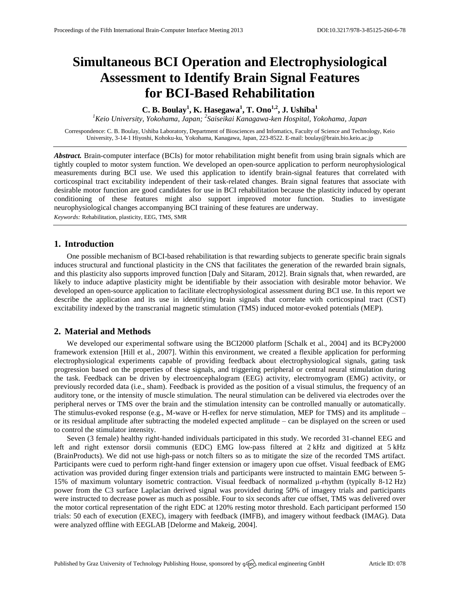# **Simultaneous BCI Operation and Electrophysiological Assessment to Identify Brain Signal Features for BCI-Based Rehabilitation**

**C. B. Boulay<sup>1</sup> , K. Hasegawa<sup>1</sup> , T. Ono1,2 , J. Ushiba<sup>1</sup>**

*<sup>1</sup>Keio University, Yokohama, Japan; 2 Saiseikai Kanagawa-ken Hospital, Yokohama, Japan*

Correspondence: C. B. Boulay, Ushiba Laboratory, Department of Biosciences and Infomatics, Faculty of Science and Technology, Keio University, 3-14-1 Hiyoshi, Kohoku-ku, Yokohama, Kanagawa, Japan, 223-8522. E-mail: [boulay@brain.bio.keio.ac.jp](mailto:boulay@brain.bio.keio.ac.jp)

*Abstract.* Brain-computer interface (BCIs) for motor rehabilitation might benefit from using brain signals which are tightly coupled to motor system function. We developed an open-source application to perform neurophysiological measurements during BCI use. We used this application to identify brain-signal features that correlated with corticospinal tract excitability independent of their task-related changes. Brain signal features that associate with desirable motor function are good candidates for use in BCI rehabilitation because the plasticity induced by operant conditioning of these features might also support improved motor function. Studies to investigate neurophysiological changes accompanying BCI training of these features are underway.

*Keywords:* Rehabilitation, plasticity, EEG, TMS, SMR

# **1. Introduction**

One possible mechanism of BCI-based rehabilitation is that rewarding subjects to generate specific brain signals induces structural and functional plasticity in the CNS that facilitates the generation of the rewarded brain signals, and this plasticity also supports improved function [Daly and Sitaram, 2012]. Brain signals that, when rewarded, are likely to induce adaptive plasticity might be identifiable by their association with desirable motor behavior. We developed an open-source application to facilitate electrophysiological assessment during BCI use. In this report we describe the application and its use in identifying brain signals that correlate with corticospinal tract (CST) excitability indexed by the transcranial magnetic stimulation (TMS) induced motor-evoked potentials (MEP).

## **2. Material and Methods**

We developed our experimental software using the BCI2000 platform [Schalk et al., 2004] and its BCPy2000 framework extension [Hill et al., 2007]. Within this environment, we created a flexible application for performing electrophysiological experiments capable of providing feedback about electrophysiological signals, gating task progression based on the properties of these signals, and triggering peripheral or central neural stimulation during the task. Feedback can be driven by electroencephalogram (EEG) activity, electromyogram (EMG) activity, or previously recorded data (i.e., sham). Feedback is provided as the position of a visual stimulus, the frequency of an auditory tone, or the intensity of muscle stimulation. The neural stimulation can be delivered via electrodes over the peripheral nerves or TMS over the brain and the stimulation intensity can be controlled manually or automatically. The stimulus-evoked response (e.g., M-wave or H-reflex for nerve stimulation, MEP for TMS) and its amplitude – or its residual amplitude after subtracting the modeled expected amplitude – can be displayed on the screen or used to control the stimulator intensity.

Seven (3 female) healthy right-handed individuals participated in this study. We recorded 31-channel EEG and left and right extensor dorsii communis (EDC) EMG low-pass filtered at 2 kHz and digitized at 5 kHz (BrainProducts). We did not use high-pass or notch filters so as to mitigate the size of the recorded TMS artifact. Participants were cued to perform right-hand finger extension or imagery upon cue offset. Visual feedback of EMG activation was provided during finger extension trials and participants were instructed to maintain EMG between 5- 15% of maximum voluntary isometric contraction. Visual feedback of normalized μ-rhythm (typically 8-12 Hz) power from the C3 surface Laplacian derived signal was provided during 50% of imagery trials and participants were instructed to decrease power as much as possible. Four to six seconds after cue offset, TMS was delivered over the motor cortical representation of the right EDC at 120% resting motor threshold. Each participant performed 150 trials: 50 each of execution (EXEC), imagery with feedback (IMFB), and imagery without feedback (IMAG). Data were analyzed offline with EEGLAB [Delorme and Makeig, 2004].